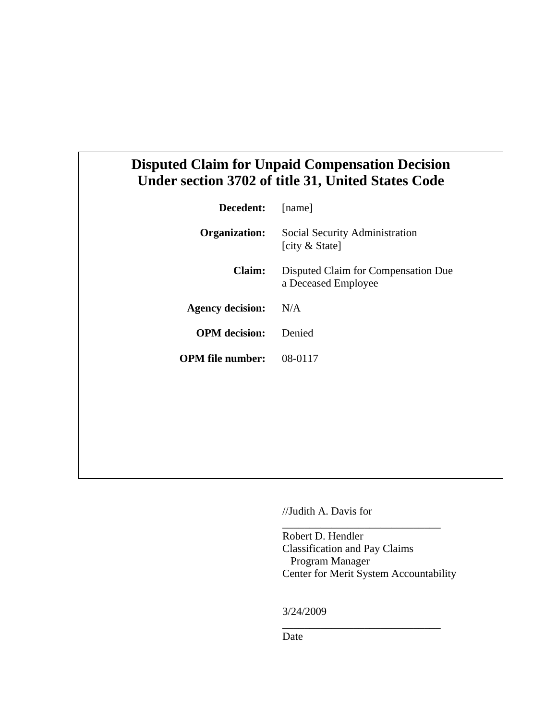## **Disputed Claim for Unpaid Compensation Decision Under section 3702 of title 31, United States Code**

| Decedent:               | [name]                                                     |
|-------------------------|------------------------------------------------------------|
| <b>Organization:</b>    | Social Security Administration<br>[city & State]           |
| <b>Claim:</b>           | Disputed Claim for Compensation Due<br>a Deceased Employee |
| <b>Agency decision:</b> | N/A                                                        |
| <b>OPM</b> decision:    | Denied                                                     |
| <b>OPM</b> file number: | 08-0117                                                    |
|                         |                                                            |

//Judith A. Davis for

Robert D. Hendler Classification and Pay Claims Program Manager Center for Merit System Accountability

\_\_\_\_\_\_\_\_\_\_\_\_\_\_\_\_\_\_\_\_\_\_\_\_\_\_\_\_\_

\_\_\_\_\_\_\_\_\_\_\_\_\_\_\_\_\_\_\_\_\_\_\_\_\_\_\_\_\_

3/24/2009

Date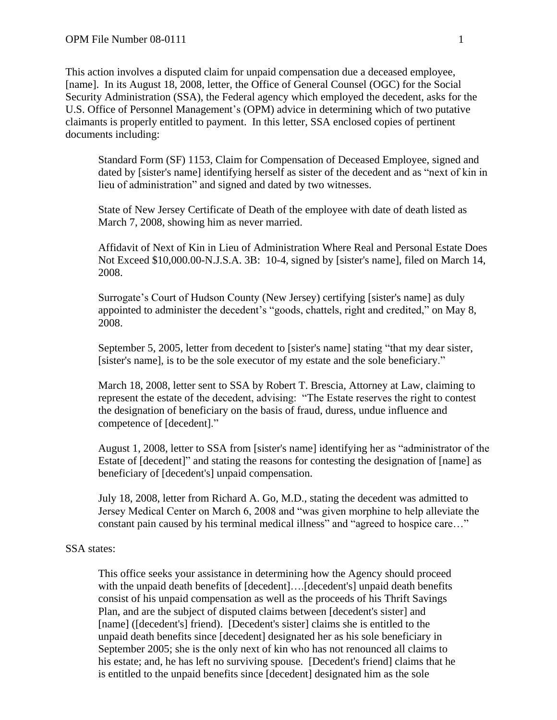This action involves a disputed claim for unpaid compensation due a deceased employee, [name]. In its August 18, 2008, letter, the Office of General Counsel (OGC) for the Social Security Administration (SSA), the Federal agency which employed the decedent, asks for the U.S. Office of Personnel Management's (OPM) advice in determining which of two putative claimants is properly entitled to payment. In this letter, SSA enclosed copies of pertinent documents including:

Standard Form (SF) 1153, Claim for Compensation of Deceased Employee, signed and dated by [sister's name] identifying herself as sister of the decedent and as "next of kin in lieu of administration" and signed and dated by two witnesses.

State of New Jersey Certificate of Death of the employee with date of death listed as March 7, 2008, showing him as never married.

Affidavit of Next of Kin in Lieu of Administration Where Real and Personal Estate Does Not Exceed \$10,000.00-N.J.S.A. 3B: 10-4, signed by [sister's name], filed on March 14, 2008.

Surrogate's Court of Hudson County (New Jersey) certifying [sister's name] as duly appointed to administer the decedent's "goods, chattels, right and credited," on May 8, 2008.

September 5, 2005, letter from decedent to [sister's name] stating "that my dear sister, [sister's name], is to be the sole executor of my estate and the sole beneficiary."

March 18, 2008, letter sent to SSA by Robert T. Brescia, Attorney at Law, claiming to represent the estate of the decedent, advising: "The Estate reserves the right to contest the designation of beneficiary on the basis of fraud, duress, undue influence and competence of [decedent]."

August 1, 2008, letter to SSA from [sister's name] identifying her as "administrator of the Estate of [decedent]" and stating the reasons for contesting the designation of [name] as beneficiary of [decedent's] unpaid compensation.

July 18, 2008, letter from Richard A. Go, M.D., stating the decedent was admitted to Jersey Medical Center on March 6, 2008 and "was given morphine to help alleviate the constant pain caused by his terminal medical illness" and "agreed to hospice care…"

## SSA states:

This office seeks your assistance in determining how the Agency should proceed with the unpaid death benefits of [decedent]....[decedent's] unpaid death benefits consist of his unpaid compensation as well as the proceeds of his Thrift Savings Plan, and are the subject of disputed claims between [decedent's sister] and [name] ([decedent's] friend). [Decedent's sister] claims she is entitled to the unpaid death benefits since [decedent] designated her as his sole beneficiary in September 2005; she is the only next of kin who has not renounced all claims to his estate; and, he has left no surviving spouse. [Decedent's friend] claims that he is entitled to the unpaid benefits since [decedent] designated him as the sole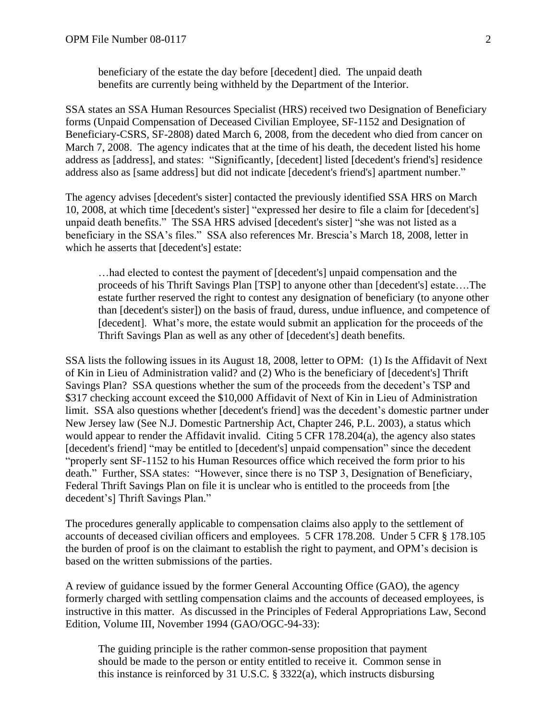beneficiary of the estate the day before [decedent] died. The unpaid death benefits are currently being withheld by the Department of the Interior.

SSA states an SSA Human Resources Specialist (HRS) received two Designation of Beneficiary forms (Unpaid Compensation of Deceased Civilian Employee, SF-1152 and Designation of Beneficiary-CSRS, SF-2808) dated March 6, 2008, from the decedent who died from cancer on March 7, 2008. The agency indicates that at the time of his death, the decedent listed his home address as [address], and states: "Significantly, [decedent] listed [decedent's friend's] residence address also as [same address] but did not indicate [decedent's friend's] apartment number."

The agency advises [decedent's sister] contacted the previously identified SSA HRS on March 10, 2008, at which time [decedent's sister] "expressed her desire to file a claim for [decedent's] unpaid death benefits." The SSA HRS advised [decedent's sister] "she was not listed as a beneficiary in the SSA's files." SSA also references Mr. Brescia's March 18, 2008, letter in which he asserts that [decedent's] estate:

…had elected to contest the payment of [decedent's] unpaid compensation and the proceeds of his Thrift Savings Plan [TSP] to anyone other than [decedent's] estate….The estate further reserved the right to contest any designation of beneficiary (to anyone other than [decedent's sister]) on the basis of fraud, duress, undue influence, and competence of [decedent]. What's more, the estate would submit an application for the proceeds of the Thrift Savings Plan as well as any other of [decedent's] death benefits.

SSA lists the following issues in its August 18, 2008, letter to OPM: (1) Is the Affidavit of Next of Kin in Lieu of Administration valid? and (2) Who is the beneficiary of [decedent's] Thrift Savings Plan? SSA questions whether the sum of the proceeds from the decedent's TSP and \$317 checking account exceed the \$10,000 Affidavit of Next of Kin in Lieu of Administration limit. SSA also questions whether [decedent's friend] was the decedent's domestic partner under New Jersey law (See N.J. Domestic Partnership Act, Chapter 246, P.L. 2003), a status which would appear to render the Affidavit invalid. Citing 5 CFR 178.204(a), the agency also states [decedent's friend] "may be entitled to [decedent's] unpaid compensation" since the decedent "properly sent SF-1152 to his Human Resources office which received the form prior to his death." Further, SSA states: "However, since there is no TSP 3, Designation of Beneficiary, Federal Thrift Savings Plan on file it is unclear who is entitled to the proceeds from [the decedent's] Thrift Savings Plan."

The procedures generally applicable to compensation claims also apply to the settlement of accounts of deceased civilian officers and employees. 5 CFR 178.208. Under 5 CFR § 178.105 the burden of proof is on the claimant to establish the right to payment, and OPM's decision is based on the written submissions of the parties.

A review of guidance issued by the former General Accounting Office (GAO), the agency formerly charged with settling compensation claims and the accounts of deceased employees, is instructive in this matter. As discussed in the Principles of Federal Appropriations Law, Second Edition, Volume III, November 1994 (GAO/OGC-94-33):

The guiding principle is the rather common-sense proposition that payment should be made to the person or entity entitled to receive it. Common sense in this instance is reinforced by 31 U.S.C. § 3322(a), which instructs disbursing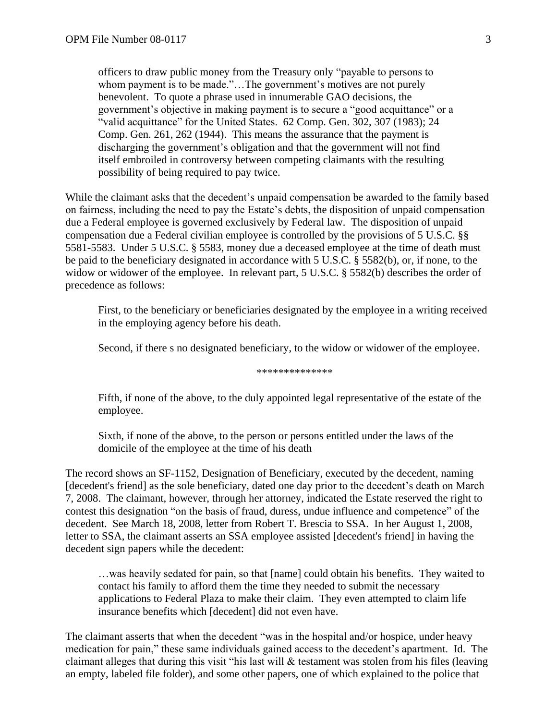officers to draw public money from the Treasury only "payable to persons to whom payment is to be made."...The government's motives are not purely benevolent. To quote a phrase used in innumerable GAO decisions, the government's objective in making payment is to secure a "good acquittance" or a "valid acquittance" for the United States. 62 Comp. Gen. 302, 307 (1983); 24 Comp. Gen. 261, 262 (1944). This means the assurance that the payment is discharging the government's obligation and that the government will not find itself embroiled in controversy between competing claimants with the resulting possibility of being required to pay twice.

While the claimant asks that the decedent's unpaid compensation be awarded to the family based on fairness, including the need to pay the Estate's debts, the disposition of unpaid compensation due a Federal employee is governed exclusively by Federal law. The disposition of unpaid compensation due a Federal civilian employee is controlled by the provisions of 5 U.S.C. §§ 5581-5583. Under 5 U.S.C. § 5583, money due a deceased employee at the time of death must be paid to the beneficiary designated in accordance with 5 U.S.C. § 5582(b), or, if none, to the widow or widower of the employee. In relevant part, 5 U.S.C. § 5582(b) describes the order of precedence as follows:

First, to the beneficiary or beneficiaries designated by the employee in a writing received in the employing agency before his death.

Second, if there s no designated beneficiary, to the widow or widower of the employee.

\*\*\*\*\*\*\*\*\*\*\*\*\*

Fifth, if none of the above, to the duly appointed legal representative of the estate of the employee.

Sixth, if none of the above, to the person or persons entitled under the laws of the domicile of the employee at the time of his death

The record shows an SF-1152, Designation of Beneficiary, executed by the decedent, naming [decedent's friend] as the sole beneficiary, dated one day prior to the decedent's death on March 7, 2008. The claimant, however, through her attorney, indicated the Estate reserved the right to contest this designation "on the basis of fraud, duress, undue influence and competence" of the decedent. See March 18, 2008, letter from Robert T. Brescia to SSA. In her August 1, 2008, letter to SSA, the claimant asserts an SSA employee assisted [decedent's friend] in having the decedent sign papers while the decedent:

…was heavily sedated for pain, so that [name] could obtain his benefits. They waited to contact his family to afford them the time they needed to submit the necessary applications to Federal Plaza to make their claim. They even attempted to claim life insurance benefits which [decedent] did not even have.

The claimant asserts that when the decedent "was in the hospital and/or hospice, under heavy medication for pain," these same individuals gained access to the decedent's apartment. Id. The claimant alleges that during this visit "his last will  $\&$  testament was stolen from his files (leaving an empty, labeled file folder), and some other papers, one of which explained to the police that